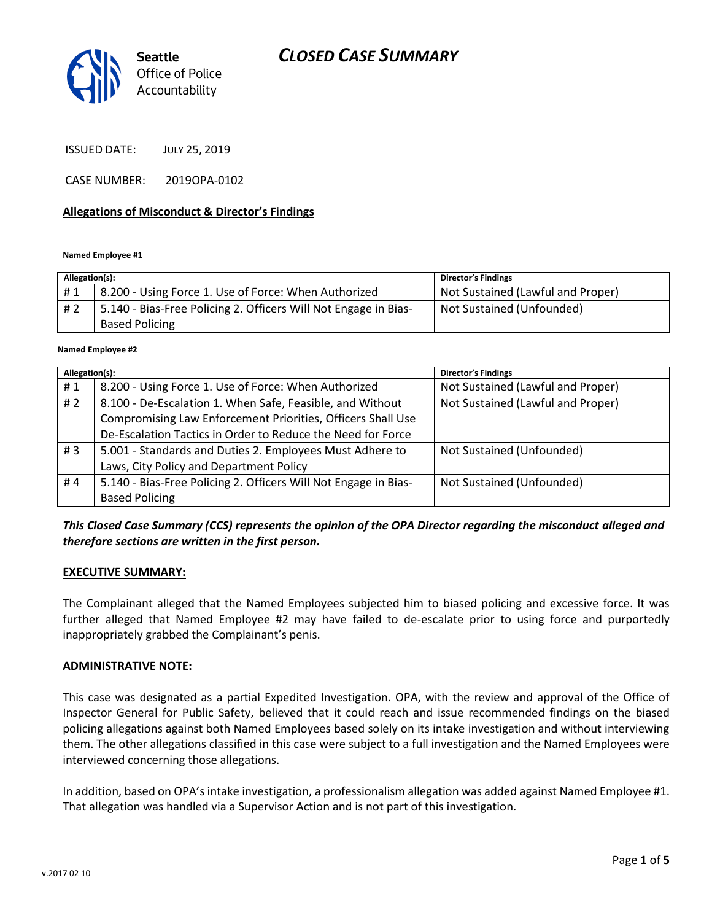# *CLOSED CASE SUMMARY*



ISSUED DATE: JULY 25, 2019

CASE NUMBER: 2019OPA-0102

### **Allegations of Misconduct & Director's Findings**

#### **Named Employee #1**

| Allegation(s): |                                                                 | <b>Director's Findings</b>        |
|----------------|-----------------------------------------------------------------|-----------------------------------|
| #1             | 8.200 - Using Force 1. Use of Force: When Authorized            | Not Sustained (Lawful and Proper) |
| #2             | 5.140 - Bias-Free Policing 2. Officers Will Not Engage in Bias- | Not Sustained (Unfounded)         |
|                | <b>Based Policing</b>                                           |                                   |

#### ؚ<br>ا **Named Employee #2**

| Allegation(s): |                                                                 | Director's Findings               |
|----------------|-----------------------------------------------------------------|-----------------------------------|
| #1             | 8.200 - Using Force 1. Use of Force: When Authorized            | Not Sustained (Lawful and Proper) |
| #2             | 8.100 - De-Escalation 1. When Safe, Feasible, and Without       | Not Sustained (Lawful and Proper) |
|                | Compromising Law Enforcement Priorities, Officers Shall Use     |                                   |
|                | De-Escalation Tactics in Order to Reduce the Need for Force     |                                   |
| #3             | 5.001 - Standards and Duties 2. Employees Must Adhere to        | Not Sustained (Unfounded)         |
|                | Laws, City Policy and Department Policy                         |                                   |
| #4             | 5.140 - Bias-Free Policing 2. Officers Will Not Engage in Bias- | Not Sustained (Unfounded)         |
|                | <b>Based Policing</b>                                           |                                   |

### *This Closed Case Summary (CCS) represents the opinion of the OPA Director regarding the misconduct alleged and therefore sections are written in the first person.*

### **EXECUTIVE SUMMARY:**

The Complainant alleged that the Named Employees subjected him to biased policing and excessive force. It was further alleged that Named Employee #2 may have failed to de-escalate prior to using force and purportedly inappropriately grabbed the Complainant's penis.

### **ADMINISTRATIVE NOTE:**

This case was designated as a partial Expedited Investigation. OPA, with the review and approval of the Office of Inspector General for Public Safety, believed that it could reach and issue recommended findings on the biased policing allegations against both Named Employees based solely on its intake investigation and without interviewing them. The other allegations classified in this case were subject to a full investigation and the Named Employees were interviewed concerning those allegations.

In addition, based on OPA's intake investigation, a professionalism allegation was added against Named Employee #1. That allegation was handled via a Supervisor Action and is not part of this investigation.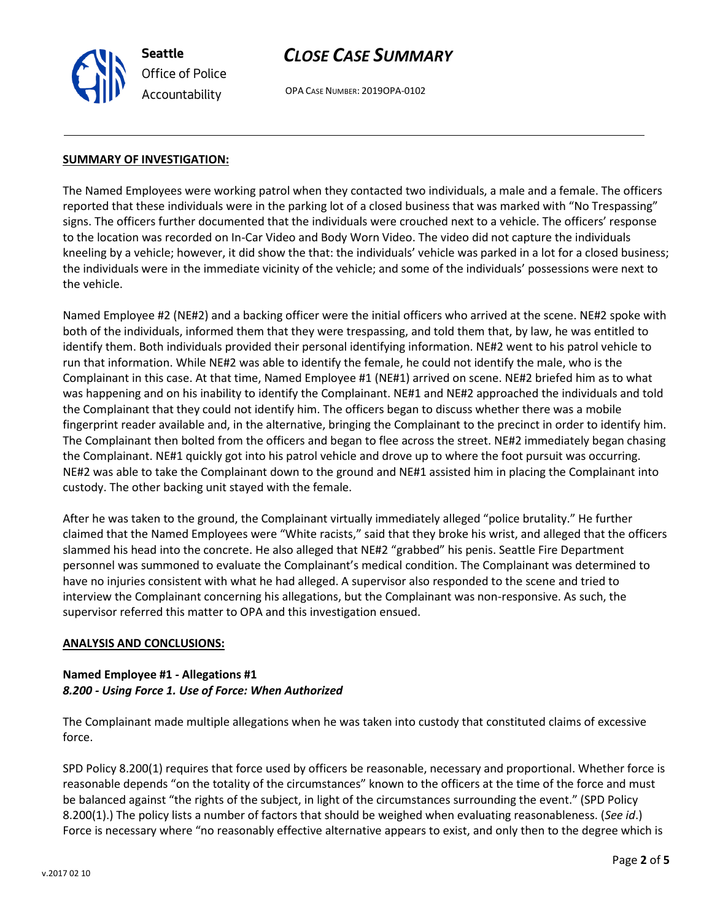

## *CLOSE CASE SUMMARY*

OPA CASE NUMBER: 2019OPA-0102

### **SUMMARY OF INVESTIGATION:**

The Named Employees were working patrol when they contacted two individuals, a male and a female. The officers reported that these individuals were in the parking lot of a closed business that was marked with "No Trespassing" signs. The officers further documented that the individuals were crouched next to a vehicle. The officers' response to the location was recorded on In-Car Video and Body Worn Video. The video did not capture the individuals kneeling by a vehicle; however, it did show the that: the individuals' vehicle was parked in a lot for a closed business; the individuals were in the immediate vicinity of the vehicle; and some of the individuals' possessions were next to the vehicle.

Named Employee #2 (NE#2) and a backing officer were the initial officers who arrived at the scene. NE#2 spoke with both of the individuals, informed them that they were trespassing, and told them that, by law, he was entitled to identify them. Both individuals provided their personal identifying information. NE#2 went to his patrol vehicle to run that information. While NE#2 was able to identify the female, he could not identify the male, who is the Complainant in this case. At that time, Named Employee #1 (NE#1) arrived on scene. NE#2 briefed him as to what was happening and on his inability to identify the Complainant. NE#1 and NE#2 approached the individuals and told the Complainant that they could not identify him. The officers began to discuss whether there was a mobile fingerprint reader available and, in the alternative, bringing the Complainant to the precinct in order to identify him. The Complainant then bolted from the officers and began to flee across the street. NE#2 immediately began chasing the Complainant. NE#1 quickly got into his patrol vehicle and drove up to where the foot pursuit was occurring. NE#2 was able to take the Complainant down to the ground and NE#1 assisted him in placing the Complainant into custody. The other backing unit stayed with the female.

After he was taken to the ground, the Complainant virtually immediately alleged "police brutality." He further claimed that the Named Employees were "White racists," said that they broke his wrist, and alleged that the officers slammed his head into the concrete. He also alleged that NE#2 "grabbed" his penis. Seattle Fire Department personnel was summoned to evaluate the Complainant's medical condition. The Complainant was determined to have no injuries consistent with what he had alleged. A supervisor also responded to the scene and tried to interview the Complainant concerning his allegations, but the Complainant was non-responsive. As such, the supervisor referred this matter to OPA and this investigation ensued.

### **ANALYSIS AND CONCLUSIONS:**

### **Named Employee #1 - Allegations #1** *8.200 - Using Force 1. Use of Force: When Authorized*

The Complainant made multiple allegations when he was taken into custody that constituted claims of excessive force.

SPD Policy 8.200(1) requires that force used by officers be reasonable, necessary and proportional. Whether force is reasonable depends "on the totality of the circumstances" known to the officers at the time of the force and must be balanced against "the rights of the subject, in light of the circumstances surrounding the event." (SPD Policy 8.200(1).) The policy lists a number of factors that should be weighed when evaluating reasonableness. (*See id*.) Force is necessary where "no reasonably effective alternative appears to exist, and only then to the degree which is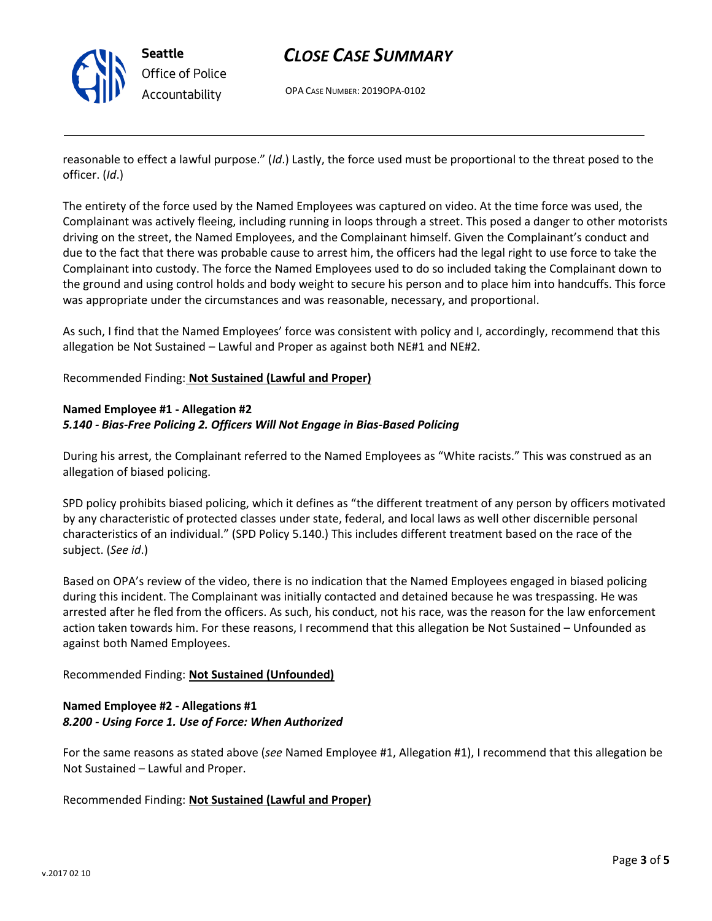

# *CLOSE CASE SUMMARY*

OPA CASE NUMBER: 2019OPA-0102

reasonable to effect a lawful purpose." (*Id*.) Lastly, the force used must be proportional to the threat posed to the officer. (*Id*.)

The entirety of the force used by the Named Employees was captured on video. At the time force was used, the Complainant was actively fleeing, including running in loops through a street. This posed a danger to other motorists driving on the street, the Named Employees, and the Complainant himself. Given the Complainant's conduct and due to the fact that there was probable cause to arrest him, the officers had the legal right to use force to take the Complainant into custody. The force the Named Employees used to do so included taking the Complainant down to the ground and using control holds and body weight to secure his person and to place him into handcuffs. This force was appropriate under the circumstances and was reasonable, necessary, and proportional.

As such, I find that the Named Employees' force was consistent with policy and I, accordingly, recommend that this allegation be Not Sustained – Lawful and Proper as against both NE#1 and NE#2.

Recommended Finding: **Not Sustained (Lawful and Proper)**

## **Named Employee #1 - Allegation #2** *5.140 - Bias-Free Policing 2. Officers Will Not Engage in Bias-Based Policing*

During his arrest, the Complainant referred to the Named Employees as "White racists." This was construed as an allegation of biased policing.

SPD policy prohibits biased policing, which it defines as "the different treatment of any person by officers motivated by any characteristic of protected classes under state, federal, and local laws as well other discernible personal characteristics of an individual." (SPD Policy 5.140.) This includes different treatment based on the race of the subject. (*See id*.)

Based on OPA's review of the video, there is no indication that the Named Employees engaged in biased policing during this incident. The Complainant was initially contacted and detained because he was trespassing. He was arrested after he fled from the officers. As such, his conduct, not his race, was the reason for the law enforcement action taken towards him. For these reasons, I recommend that this allegation be Not Sustained – Unfounded as against both Named Employees.

Recommended Finding: **Not Sustained (Unfounded)**

## **Named Employee #2 - Allegations #1** *8.200 - Using Force 1. Use of Force: When Authorized*

For the same reasons as stated above (*see* Named Employee #1, Allegation #1), I recommend that this allegation be Not Sustained – Lawful and Proper.

Recommended Finding: **Not Sustained (Lawful and Proper)**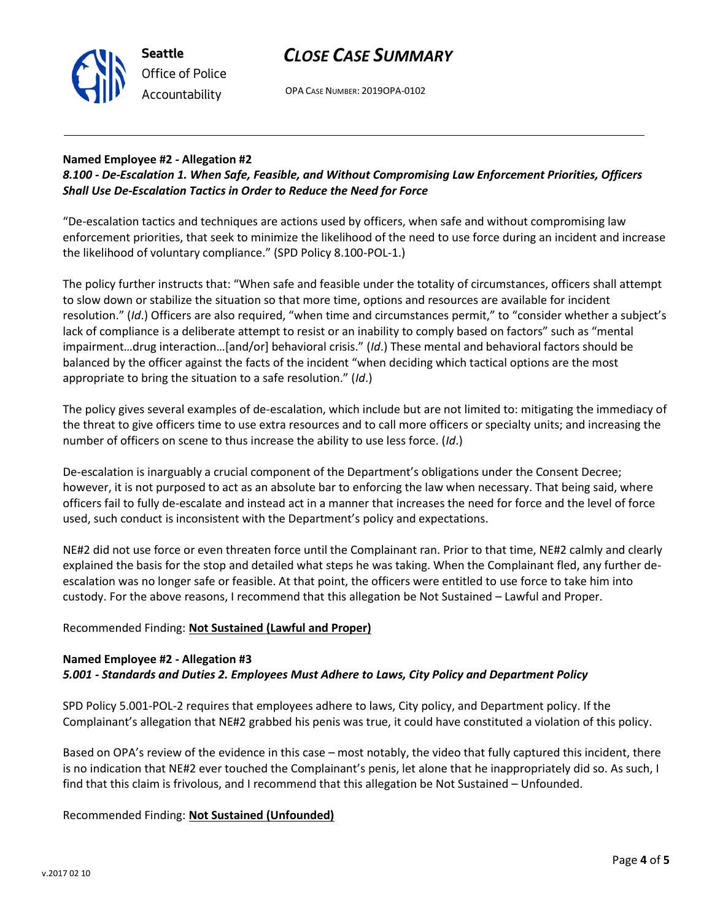



OPA CASE NUMBER: 2019OPA-0102

## **Named Employee #2 - Allegation #2**

## *8.100 - De-Escalation 1. When Safe, Feasible, and Without Compromising Law Enforcement Priorities, Officers Shall Use De-Escalation Tactics in Order to Reduce the Need for Force*

"De-escalation tactics and techniques are actions used by officers, when safe and without compromising law enforcement priorities, that seek to minimize the likelihood of the need to use force during an incident and increase the likelihood of voluntary compliance." (SPD Policy 8.100-POL-1.)

The policy further instructs that: "When safe and feasible under the totality of circumstances, officers shall attempt to slow down or stabilize the situation so that more time, options and resources are available for incident resolution." (*Id*.) Officers are also required, "when time and circumstances permit," to "consider whether a subject's lack of compliance is a deliberate attempt to resist or an inability to comply based on factors" such as "mental impairment…drug interaction…[and/or] behavioral crisis." (*Id*.) These mental and behavioral factors should be balanced by the officer against the facts of the incident "when deciding which tactical options are the most appropriate to bring the situation to a safe resolution." (*Id*.)

The policy gives several examples of de-escalation, which include but are not limited to: mitigating the immediacy of the threat to give officers time to use extra resources and to call more officers or specialty units; and increasing the number of officers on scene to thus increase the ability to use less force. (*Id*.)

De-escalation is inarguably a crucial component of the Department's obligations under the Consent Decree; however, it is not purposed to act as an absolute bar to enforcing the law when necessary. That being said, where officers fail to fully de-escalate and instead act in a manner that increases the need for force and the level of force used, such conduct is inconsistent with the Department's policy and expectations.

NE#2 did not use force or even threaten force until the Complainant ran. Prior to that time, NE#2 calmly and clearly explained the basis for the stop and detailed what steps he was taking. When the Complainant fled, any further deescalation was no longer safe or feasible. At that point, the officers were entitled to use force to take him into custody. For the above reasons, I recommend that this allegation be Not Sustained – Lawful and Proper.

## Recommended Finding: **Not Sustained (Lawful and Proper)**

## **Named Employee #2 - Allegation #3** *5.001 - Standards and Duties 2. Employees Must Adhere to Laws, City Policy and Department Policy*

SPD Policy 5.001-POL-2 requires that employees adhere to laws, City policy, and Department policy. If the Complainant's allegation that NE#2 grabbed his penis was true, it could have constituted a violation of this policy.

Based on OPA's review of the evidence in this case – most notably, the video that fully captured this incident, there is no indication that NE#2 ever touched the Complainant's penis, let alone that he inappropriately did so. As such, I find that this claim is frivolous, and I recommend that this allegation be Not Sustained – Unfounded.

## Recommended Finding: **Not Sustained (Unfounded)**